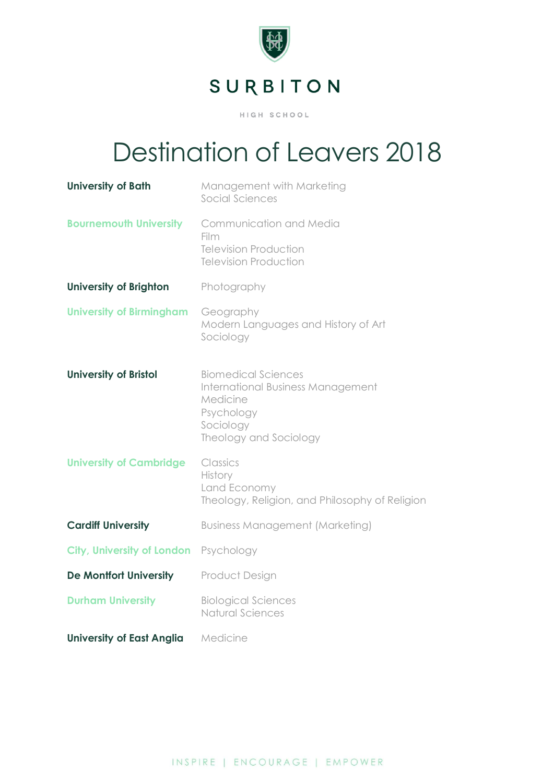

HIGH SCHOOL

# Destination of Leavers 2018

| <b>University of Bath</b>         | Management with Marketing<br>Social Sciences                                                                                            |
|-----------------------------------|-----------------------------------------------------------------------------------------------------------------------------------------|
| <b>Bournemouth University</b>     | Communication and Media<br>Film<br><b>Television Production</b><br><b>Television Production</b>                                         |
| <b>University of Brighton</b>     | Photography                                                                                                                             |
| <b>University of Birmingham</b>   | Geography<br>Modern Languages and History of Art<br>Sociology                                                                           |
| <b>University of Bristol</b>      | <b>Biomedical Sciences</b><br><b>International Business Management</b><br>Medicine<br>Psychology<br>Sociology<br>Theology and Sociology |
| <b>University of Cambridge</b>    | Classics<br>History<br>Land Economy<br>Theology, Religion, and Philosophy of Religion                                                   |
| <b>Cardiff University</b>         | <b>Business Management (Marketing)</b>                                                                                                  |
| <b>City, University of London</b> | Psychology                                                                                                                              |
| <b>De Montfort University</b>     | <b>Product Design</b>                                                                                                                   |
| <b>Durham University</b>          | <b>Biological Sciences</b><br>Natural Sciences                                                                                          |
| <b>University of East Anglia</b>  | Medicine                                                                                                                                |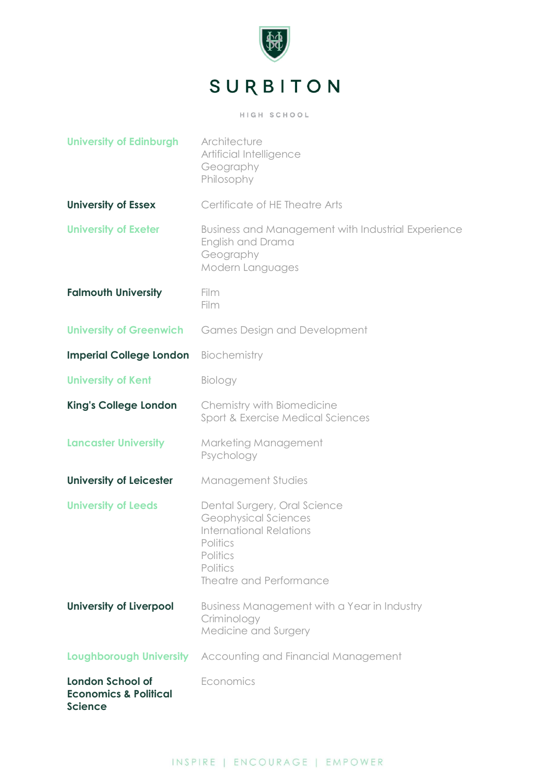

#### HIGH SCHOOL

| <b>University of Edinburgh</b>                                                | Architecture<br>Artificial Intelligence<br>Geography<br>Philosophy                                                                                                  |
|-------------------------------------------------------------------------------|---------------------------------------------------------------------------------------------------------------------------------------------------------------------|
| <b>University of Essex</b>                                                    | Certificate of HE Theatre Arts                                                                                                                                      |
| <b>University of Exeter</b>                                                   | <b>Business and Management with Industrial Experience</b><br>English and Drama<br>Geography<br>Modern Languages                                                     |
| <b>Falmouth University</b>                                                    | Film<br>Film                                                                                                                                                        |
| <b>University of Greenwich</b>                                                | <b>Games Design and Development</b>                                                                                                                                 |
| <b>Imperial College London</b>                                                | Biochemistry                                                                                                                                                        |
| <b>University of Kent</b>                                                     | Biology                                                                                                                                                             |
| <b>King's College London</b>                                                  | Chemistry with Biomedicine<br>Sport & Exercise Medical Sciences                                                                                                     |
| <b>Lancaster University</b>                                                   | Marketing Management<br>Psychology                                                                                                                                  |
| <b>University of Leicester</b>                                                | Management Studies                                                                                                                                                  |
| <b>University of Leeds</b>                                                    | Dental Surgery, Oral Science<br><b>Geophysical Sciences</b><br><b>International Relations</b><br>Politics<br>Politics<br>Politics<br><b>Theatre and Performance</b> |
| <b>University of Liverpool</b>                                                | Business Management with a Year in Industry<br>Criminology<br>Medicine and Surgery                                                                                  |
| <b>Loughborough University</b>                                                | Accounting and Financial Management                                                                                                                                 |
| <b>London School of</b><br><b>Economics &amp; Political</b><br><b>Science</b> | Economics                                                                                                                                                           |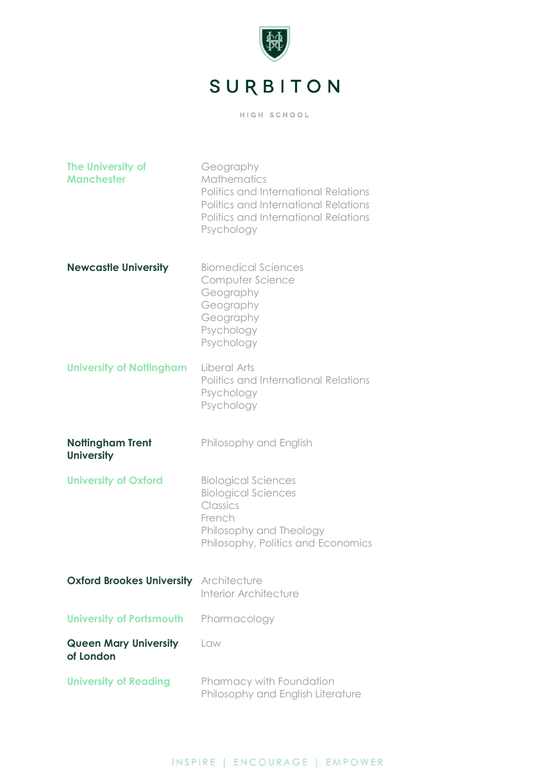

HIGH SCHOOL

| The University of<br><b>Manchester</b>       | Geography<br>Mathematics<br>Politics and International Relations<br>Politics and International Relations<br>Politics and International Relations<br>Psychology |
|----------------------------------------------|----------------------------------------------------------------------------------------------------------------------------------------------------------------|
| <b>Newcastle University</b>                  | <b>Biomedical Sciences</b><br>Computer Science<br>Geography<br>Geography<br>Geography<br>Psychology<br>Psychology                                              |
| <b>University of Nottingham</b>              | Liberal Arts<br>Politics and International Relations<br>Psychology<br>Psychology                                                                               |
| <b>Nottingham Trent</b><br><b>University</b> | Philosophy and English                                                                                                                                         |
| <b>University of Oxford</b>                  | <b>Biological Sciences</b><br><b>Biological Sciences</b><br>Classics<br>French<br>Philosophy and Theology<br>Philosophy, Politics and Economics                |
| <b>Oxford Brookes University</b>             | Architecture<br>Interior Architecture                                                                                                                          |
| <b>University of Portsmouth</b>              | Pharmacology                                                                                                                                                   |
| <b>Queen Mary University</b><br>of London    | Law                                                                                                                                                            |
| <b>University of Reading</b>                 | Pharmacy with Foundation<br>Philosophy and English Literature                                                                                                  |